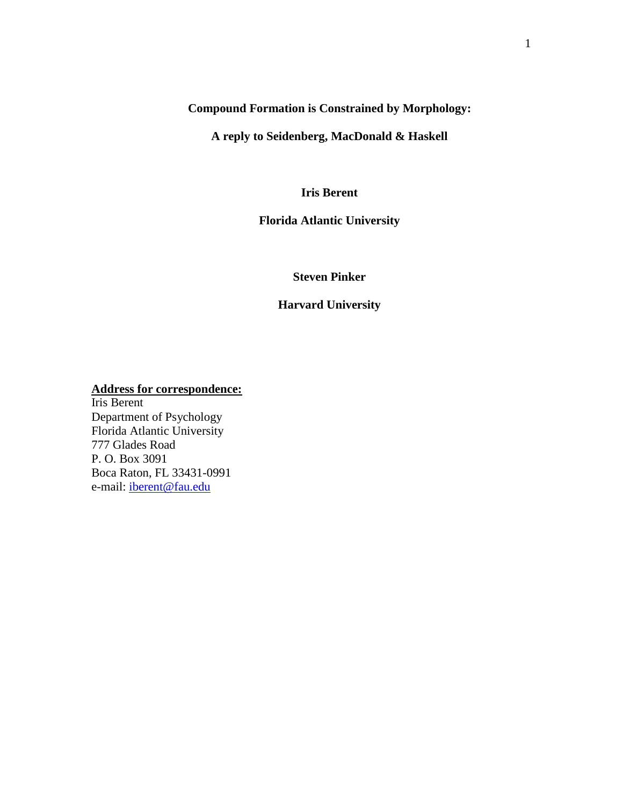**Compound Formation is Constrained by Morphology:** 

**A reply to Seidenberg, MacDonald & Haskell**

**Iris Berent**

**Florida Atlantic University**

**Steven Pinker**

**Harvard University**

**Address for correspondence:**

Iris Berent Department of Psychology Florida Atlantic University 777 Glades Road P. O. Box 3091 Boca Raton, FL 33431-0991 e-mail: [iberent@fau.edu](mailto:iberent@fau.edu)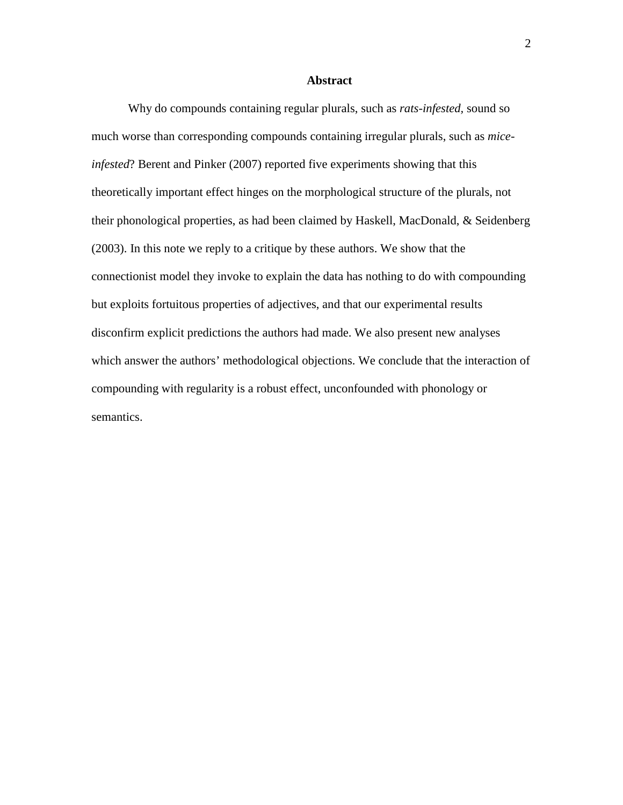#### **Abstract**

Why do compounds containing regular plurals, such as *rats-infested,* sound so much worse than corresponding compounds containing irregular plurals, such as *miceinfested*? Berent and Pinker (2007) reported five experiments showing that this theoretically important effect hinges on the morphological structure of the plurals, not their phonological properties, as had been claimed by Haskell, MacDonald, & Seidenberg (2003). In this note we reply to a critique by these authors. We show that the connectionist model they invoke to explain the data has nothing to do with compounding but exploits fortuitous properties of adjectives, and that our experimental results disconfirm explicit predictions the authors had made. We also present new analyses which answer the authors' methodological objections. We conclude that the interaction of compounding with regularity is a robust effect, unconfounded with phonology or semantics.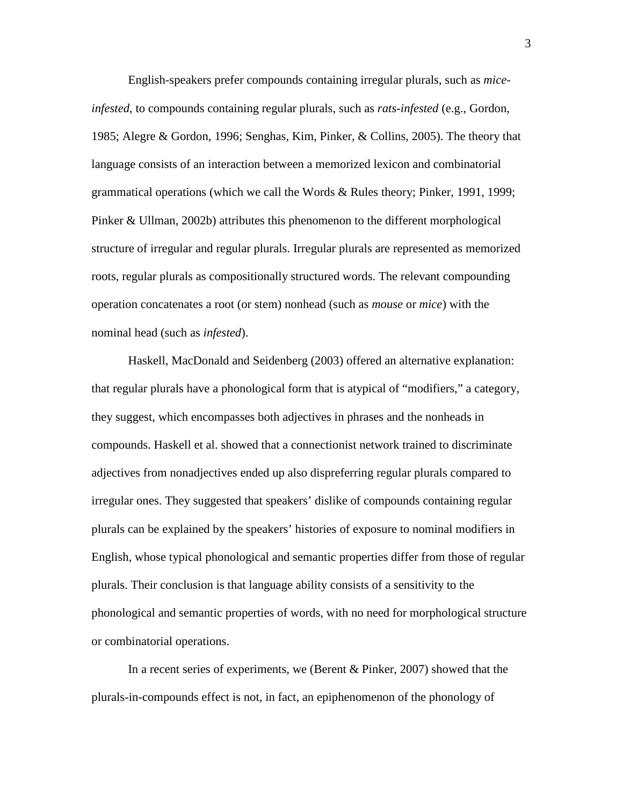English-speakers prefer compounds containing irregular plurals, such as *miceinfested*, to compounds containing regular plurals, such as *rats*-*infested* (e.g., Gordon, 1985; Alegre & Gordon, 1996; Senghas, Kim, Pinker, & Collins, 2005). The theory that language consists of an interaction between a memorized lexicon and combinatorial grammatical operations (which we call the Words & Rules theory; Pinker, 1991, 1999; Pinker & Ullman, 2002b) attributes this phenomenon to the different morphological structure of irregular and regular plurals. Irregular plurals are represented as memorized roots, regular plurals as compositionally structured words. The relevant compounding operation concatenates a root (or stem) nonhead (such as *mouse* or *mice*) with the nominal head (such as *infested*).

Haskell, MacDonald and Seidenberg (2003) offered an alternative explanation: that regular plurals have a phonological form that is atypical of "modifiers," a category, they suggest, which encompasses both adjectives in phrases and the nonheads in compounds. Haskell et al. showed that a connectionist network trained to discriminate adjectives from nonadjectives ended up also dispreferring regular plurals compared to irregular ones. They suggested that speakers' dislike of compounds containing regular plurals can be explained by the speakers' histories of exposure to nominal modifiers in English, whose typical phonological and semantic properties differ from those of regular plurals. Their conclusion is that language ability consists of a sensitivity to the phonological and semantic properties of words, with no need for morphological structure or combinatorial operations.

In a recent series of experiments, we (Berent & Pinker, 2007) showed that the plurals-in-compounds effect is not, in fact, an epiphenomenon of the phonology of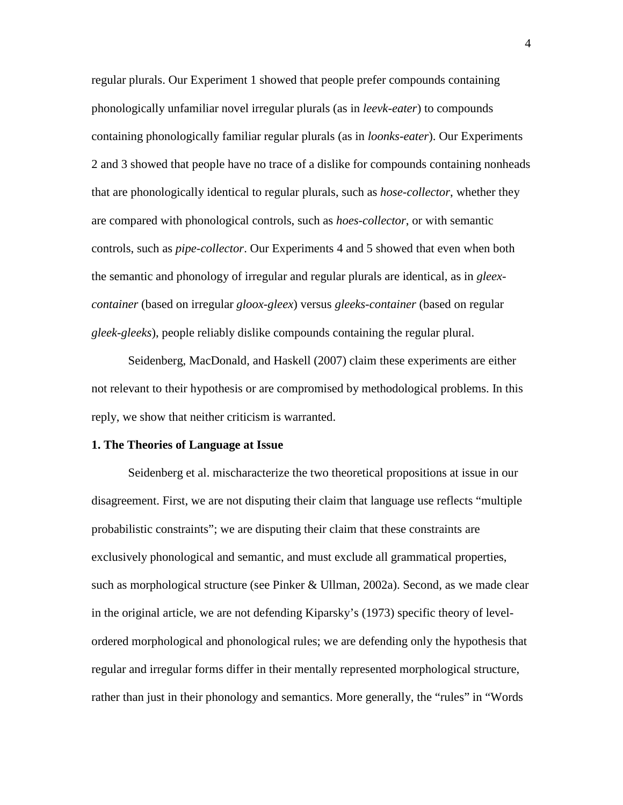regular plurals. Our Experiment 1 showed that people prefer compounds containing phonologically unfamiliar novel irregular plurals (as in *leevk-eater*) to compounds containing phonologically familiar regular plurals (as in *loonks-eater*). Our Experiments 2 and 3 showed that people have no trace of a dislike for compounds containing nonheads that are phonologically identical to regular plurals, such as *hose-collector*, whether they are compared with phonological controls, such as *hoes-collector*, or with semantic controls, such as *pipe-collector*. Our Experiments 4 and 5 showed that even when both the semantic and phonology of irregular and regular plurals are identical, as in *gleexcontainer* (based on irregular *gloox-gleex*) versus *gleeks-container* (based on regular *gleek-gleeks*), people reliably dislike compounds containing the regular plural.

Seidenberg, MacDonald, and Haskell (2007) claim these experiments are either not relevant to their hypothesis or are compromised by methodological problems. In this reply, we show that neither criticism is warranted.

#### **1. The Theories of Language at Issue**

Seidenberg et al. mischaracterize the two theoretical propositions at issue in our disagreement. First, we are not disputing their claim that language use reflects "multiple probabilistic constraints"; we are disputing their claim that these constraints are exclusively phonological and semantic, and must exclude all grammatical properties, such as morphological structure (see Pinker & Ullman, 2002a). Second, as we made clear in the original article, we are not defending Kiparsky's (1973) specific theory of levelordered morphological and phonological rules; we are defending only the hypothesis that regular and irregular forms differ in their mentally represented morphological structure, rather than just in their phonology and semantics. More generally, the "rules" in "Words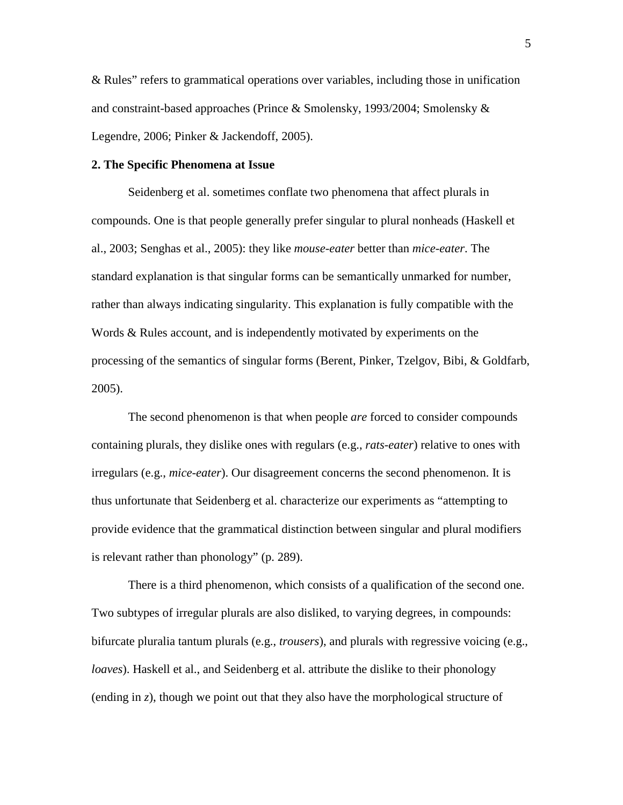& Rules" refers to grammatical operations over variables, including those in unification and constraint-based approaches (Prince & Smolensky, 1993/2004; Smolensky & Legendre, 2006; Pinker & Jackendoff, 2005).

## **2. The Specific Phenomena at Issue**

Seidenberg et al. sometimes conflate two phenomena that affect plurals in compounds. One is that people generally prefer singular to plural nonheads (Haskell et al., 2003; Senghas et al., 2005): they like *mouse-eater* better than *mice-eater*. The standard explanation is that singular forms can be semantically unmarked for number, rather than always indicating singularity. This explanation is fully compatible with the Words & Rules account, and is independently motivated by experiments on the processing of the semantics of singular forms (Berent, Pinker, Tzelgov, Bibi, & Goldfarb, 2005).

The second phenomenon is that when people *are* forced to consider compounds containing plurals, they dislike ones with regulars (e.g., *rats-eater*) relative to ones with irregulars (e.g., *mice-eater*). Our disagreement concerns the second phenomenon. It is thus unfortunate that Seidenberg et al. characterize our experiments as "attempting to provide evidence that the grammatical distinction between singular and plural modifiers is relevant rather than phonology" (p. 289).

There is a third phenomenon, which consists of a qualification of the second one. Two subtypes of irregular plurals are also disliked, to varying degrees, in compounds: bifurcate pluralia tantum plurals (e.g., *trousers*), and plurals with regressive voicing (e.g., *loaves*). Haskell et al., and Seidenberg et al. attribute the dislike to their phonology (ending in *z*), though we point out that they also have the morphological structure of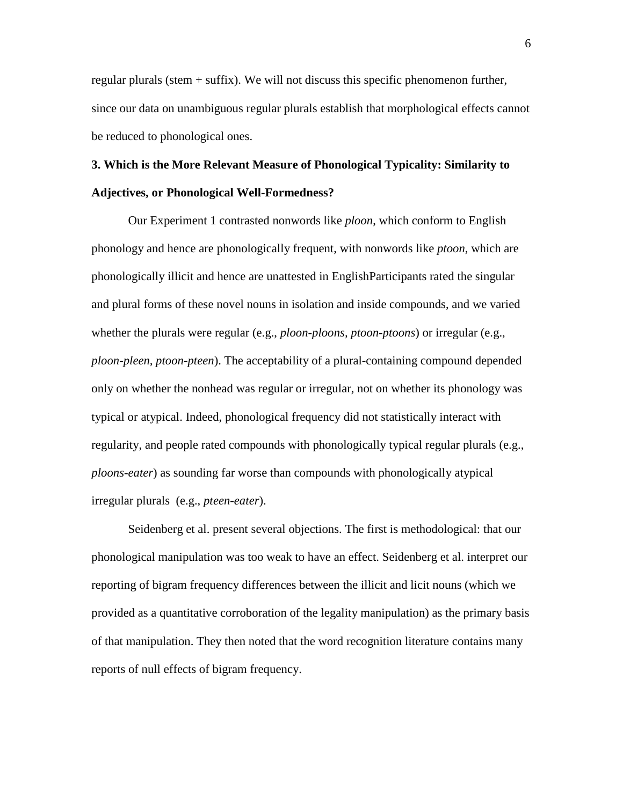regular plurals (stem  $+$  suffix). We will not discuss this specific phenomenon further, since our data on unambiguous regular plurals establish that morphological effects cannot be reduced to phonological ones.

# **3. Which is the More Relevant Measure of Phonological Typicality: Similarity to Adjectives, or Phonological Well-Formedness?**

Our Experiment 1 contrasted nonwords like *ploon*, which conform to English phonology and hence are phonologically frequent, with nonwords like *ptoon*, which are phonologically illicit and hence are unattested in EnglishParticipants rated the singular and plural forms of these novel nouns in isolation and inside compounds, and we varied whether the plurals were regular (e.g., *ploon-ploons, ptoon-ptoons*) or irregular (e.g., *ploon-pleen, ptoon-pteen*). The acceptability of a plural-containing compound depended only on whether the nonhead was regular or irregular, not on whether its phonology was typical or atypical. Indeed, phonological frequency did not statistically interact with regularity, and people rated compounds with phonologically typical regular plurals (e.g., *ploons*-*eater*) as sounding far worse than compounds with phonologically atypical irregular plurals (e.g., *pteen-eater*).

Seidenberg et al. present several objections. The first is methodological: that our phonological manipulation was too weak to have an effect. Seidenberg et al. interpret our reporting of bigram frequency differences between the illicit and licit nouns (which we provided as a quantitative corroboration of the legality manipulation) as the primary basis of that manipulation. They then noted that the word recognition literature contains many reports of null effects of bigram frequency.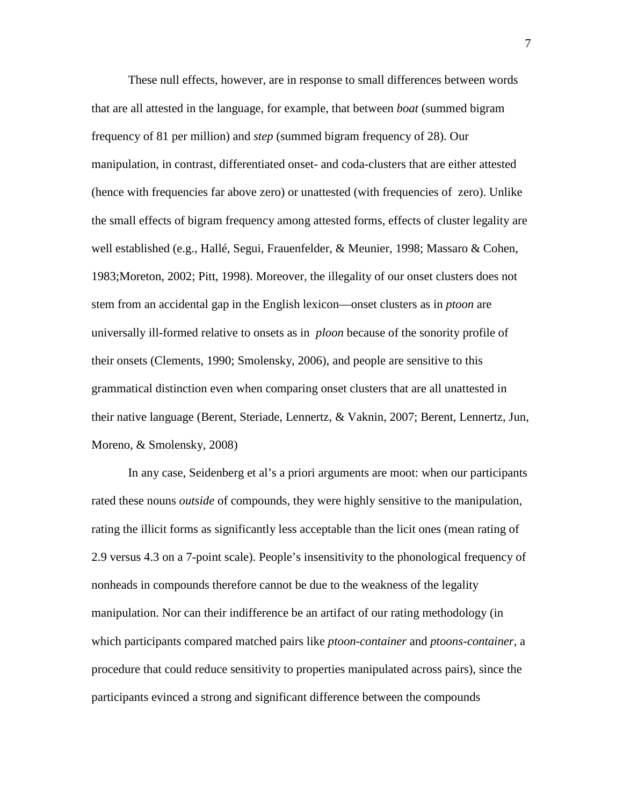These null effects, however, are in response to small differences between words that are all attested in the language, for example, that between *boat* (summed bigram frequency of 81 per million) and *step* (summed bigram frequency of 28). Our manipulation, in contrast, differentiated onset- and coda-clusters that are either attested (hence with frequencies far above zero) or unattested (with frequencies of zero). Unlike the small effects of bigram frequency among attested forms, effects of cluster legality are well established (e.g., Hallé, Segui, Frauenfelder, & Meunier, 1998; Massaro & Cohen, 1983;Moreton, 2002; Pitt, 1998). Moreover, the illegality of our onset clusters does not stem from an accidental gap in the English lexicon—onset clusters as in *ptoon* are universally ill-formed relative to onsets as in *ploon* because of the sonority profile of their onsets (Clements, 1990; Smolensky, 2006), and people are sensitive to this grammatical distinction even when comparing onset clusters that are all unattested in their native language (Berent, Steriade, Lennertz, & Vaknin, 2007; Berent, Lennertz, Jun, Moreno, & Smolensky, 2008)

In any case, Seidenberg et al's a priori arguments are moot: when our participants rated these nouns *outside* of compounds, they were highly sensitive to the manipulation, rating the illicit forms as significantly less acceptable than the licit ones (mean rating of 2.9 versus 4.3 on a 7-point scale). People's insensitivity to the phonological frequency of nonheads in compounds therefore cannot be due to the weakness of the legality manipulation. Nor can their indifference be an artifact of our rating methodology (in which participants compared matched pairs like *ptoon-container* and *ptoons-container*, a procedure that could reduce sensitivity to properties manipulated across pairs), since the participants evinced a strong and significant difference between the compounds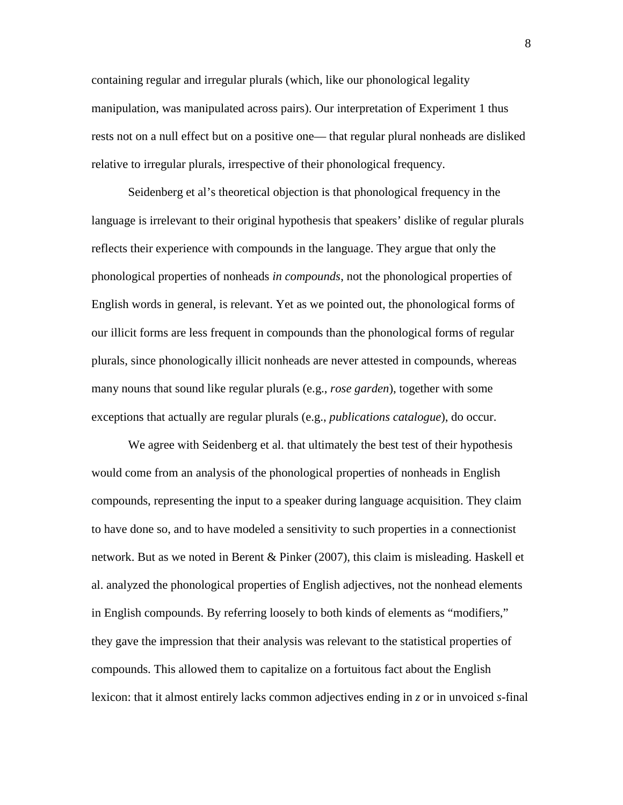containing regular and irregular plurals (which, like our phonological legality manipulation, was manipulated across pairs). Our interpretation of Experiment 1 thus rests not on a null effect but on a positive one— that regular plural nonheads are disliked relative to irregular plurals, irrespective of their phonological frequency.

Seidenberg et al's theoretical objection is that phonological frequency in the language is irrelevant to their original hypothesis that speakers' dislike of regular plurals reflects their experience with compounds in the language. They argue that only the phonological properties of nonheads *in compounds*, not the phonological properties of English words in general, is relevant. Yet as we pointed out, the phonological forms of our illicit forms are less frequent in compounds than the phonological forms of regular plurals, since phonologically illicit nonheads are never attested in compounds, whereas many nouns that sound like regular plurals (e.g., *rose garden*), together with some exceptions that actually are regular plurals (e.g., *publications catalogue*), do occur.

We agree with Seidenberg et al. that ultimately the best test of their hypothesis would come from an analysis of the phonological properties of nonheads in English compounds, representing the input to a speaker during language acquisition. They claim to have done so, and to have modeled a sensitivity to such properties in a connectionist network. But as we noted in Berent & Pinker (2007), this claim is misleading. Haskell et al. analyzed the phonological properties of English adjectives, not the nonhead elements in English compounds. By referring loosely to both kinds of elements as "modifiers," they gave the impression that their analysis was relevant to the statistical properties of compounds. This allowed them to capitalize on a fortuitous fact about the English lexicon: that it almost entirely lacks common adjectives ending in *z* or in unvoiced *s-*final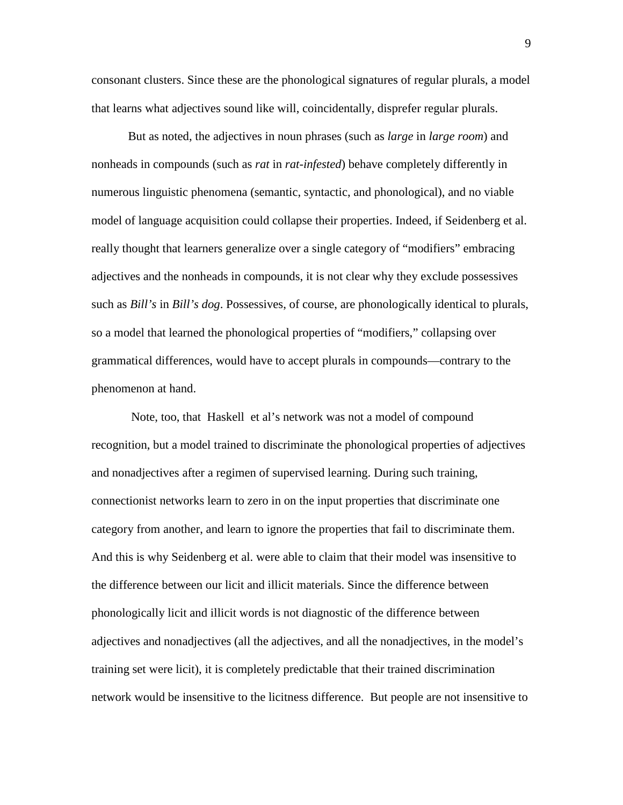consonant clusters. Since these are the phonological signatures of regular plurals, a model that learns what adjectives sound like will, coincidentally, disprefer regular plurals.

But as noted, the adjectives in noun phrases (such as *large* in *large room*) and nonheads in compounds (such as *rat* in *rat-infested*) behave completely differently in numerous linguistic phenomena (semantic, syntactic, and phonological), and no viable model of language acquisition could collapse their properties. Indeed, if Seidenberg et al. really thought that learners generalize over a single category of "modifiers" embracing adjectives and the nonheads in compounds, it is not clear why they exclude possessives such as *Bill's* in *Bill's dog*. Possessives, of course, are phonologically identical to plurals, so a model that learned the phonological properties of "modifiers," collapsing over grammatical differences, would have to accept plurals in compounds—contrary to the phenomenon at hand.

Note, too, that Haskell et al's network was not a model of compound recognition, but a model trained to discriminate the phonological properties of adjectives and nonadjectives after a regimen of supervised learning. During such training, connectionist networks learn to zero in on the input properties that discriminate one category from another, and learn to ignore the properties that fail to discriminate them. And this is why Seidenberg et al. were able to claim that their model was insensitive to the difference between our licit and illicit materials. Since the difference between phonologically licit and illicit words is not diagnostic of the difference between adjectives and nonadjectives (all the adjectives, and all the nonadjectives, in the model's training set were licit), it is completely predictable that their trained discrimination network would be insensitive to the licitness difference. But people are not insensitive to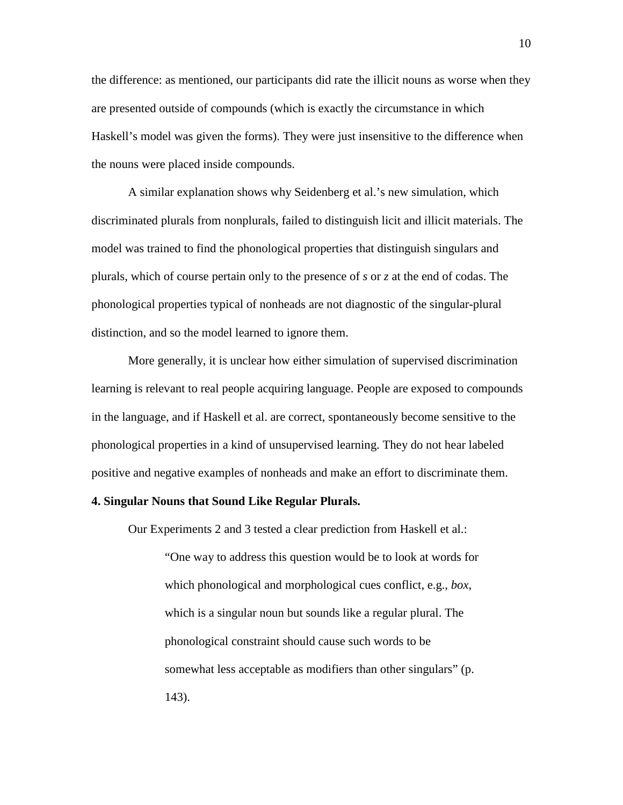the difference: as mentioned, our participants did rate the illicit nouns as worse when they are presented outside of compounds (which is exactly the circumstance in which Haskell's model was given the forms). They were just insensitive to the difference when the nouns were placed inside compounds.

A similar explanation shows why Seidenberg et al.'s new simulation, which discriminated plurals from nonplurals, failed to distinguish licit and illicit materials. The model was trained to find the phonological properties that distinguish singulars and plurals, which of course pertain only to the presence of *s* or *z* at the end of codas. The phonological properties typical of nonheads are not diagnostic of the singular-plural distinction, and so the model learned to ignore them.

More generally, it is unclear how either simulation of supervised discrimination learning is relevant to real people acquiring language. People are exposed to compounds in the language, and if Haskell et al. are correct, spontaneously become sensitive to the phonological properties in a kind of unsupervised learning. They do not hear labeled positive and negative examples of nonheads and make an effort to discriminate them.

## **4. Singular Nouns that Sound Like Regular Plurals.**

Our Experiments 2 and 3 tested a clear prediction from Haskell et al.:

"One way to address this question would be to look at words for which phonological and morphological cues conflict, e.g., *box*, which is a singular noun but sounds like a regular plural. The phonological constraint should cause such words to be somewhat less acceptable as modifiers than other singulars" (p. 143).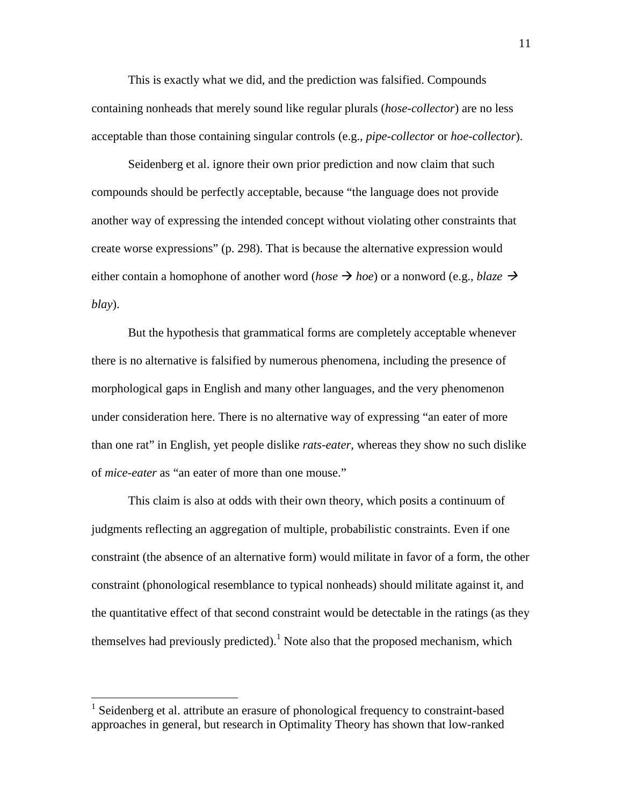This is exactly what we did, and the prediction was falsified. Compounds containing nonheads that merely sound like regular plurals (*hose-collector*) are no less acceptable than those containing singular controls (e.g., *pipe-collector* or *hoe-collector*).

Seidenberg et al. ignore their own prior prediction and now claim that such compounds should be perfectly acceptable, because "the language does not provide another way of expressing the intended concept without violating other constraints that create worse expressions" (p. 298). That is because the alternative expression would either contain a homophone of another word (*hose*  $\rightarrow$  *hoe*) or a nonword (e.g., *blaze*  $\rightarrow$ *blay*).

But the hypothesis that grammatical forms are completely acceptable whenever there is no alternative is falsified by numerous phenomena, including the presence of morphological gaps in English and many other languages, and the very phenomenon under consideration here. There is no alternative way of expressing "an eater of more than one rat" in English, yet people dislike *rats-eater*, whereas they show no such dislike of *mice-eater* as "an eater of more than one mouse."

This claim is also at odds with their own theory, which posits a continuum of judgments reflecting an aggregation of multiple, probabilistic constraints. Even if one constraint (the absence of an alternative form) would militate in favor of a form, the other constraint (phonological resemblance to typical nonheads) should militate against it, and the quantitative effect of that second constraint would be detectable in the ratings (as they themselves had previously predicted).<sup>1</sup> Note also that the proposed mechanism, which

 <sup>1</sup> Seidenberg et al. attribute an erasure of phonological frequency to constraint-based approaches in general, but research in Optimality Theory has shown that low-ranked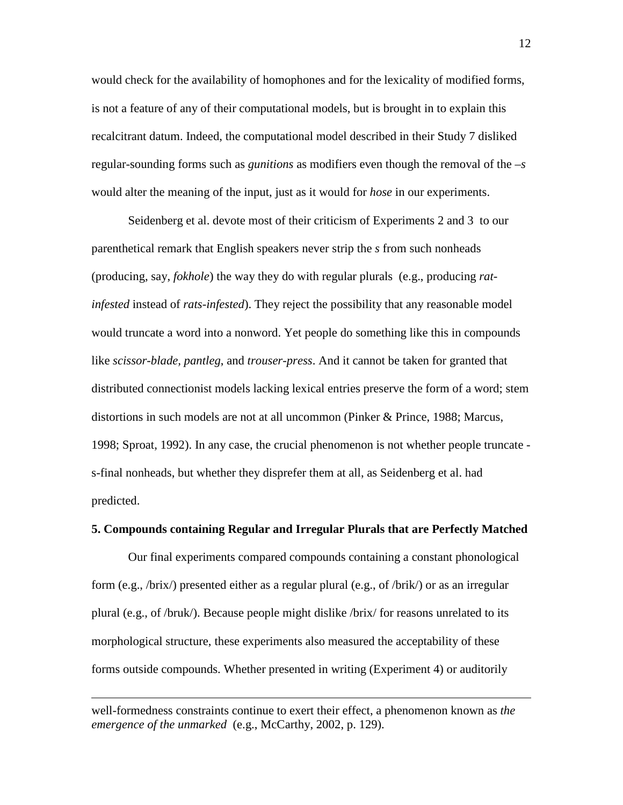would check for the availability of homophones and for the lexicality of modified forms, is not a feature of any of their computational models, but is brought in to explain this recalcitrant datum. Indeed, the computational model described in their Study 7 disliked regular-sounding forms such as *gunitions* as modifiers even though the removal of the *–s* would alter the meaning of the input, just as it would for *hose* in our experiments.

Seidenberg et al. devote most of their criticism of Experiments 2 and 3 to our parenthetical remark that English speakers never strip the *s* from such nonheads (producing, say, *fokhole*) the way they do with regular plurals (e.g., producing *ratinfested* instead of *rats-infested*). They reject the possibility that any reasonable model would truncate a word into a nonword. Yet people do something like this in compounds like *scissor-blade, pantleg*, and *trouser-press*. And it cannot be taken for granted that distributed connectionist models lacking lexical entries preserve the form of a word; stem distortions in such models are not at all uncommon (Pinker & Prince, 1988; Marcus, 1998; Sproat, 1992). In any case, the crucial phenomenon is not whether people truncate s-final nonheads, but whether they disprefer them at all, as Seidenberg et al. had predicted.

### **5. Compounds containing Regular and Irregular Plurals that are Perfectly Matched**

Our final experiments compared compounds containing a constant phonological form (e.g., /brix/) presented either as a regular plural (e.g., of /brik/) or as an irregular plural (e.g., of /bruk/). Because people might dislike /brix/ for reasons unrelated to its morphological structure, these experiments also measured the acceptability of these forms outside compounds. Whether presented in writing (Experiment 4) or auditorily

 $\overline{a}$ 

well-formedness constraints continue to exert their effect, a phenomenon known as *the emergence of the unmarked* (e.g., McCarthy, 2002, p. 129).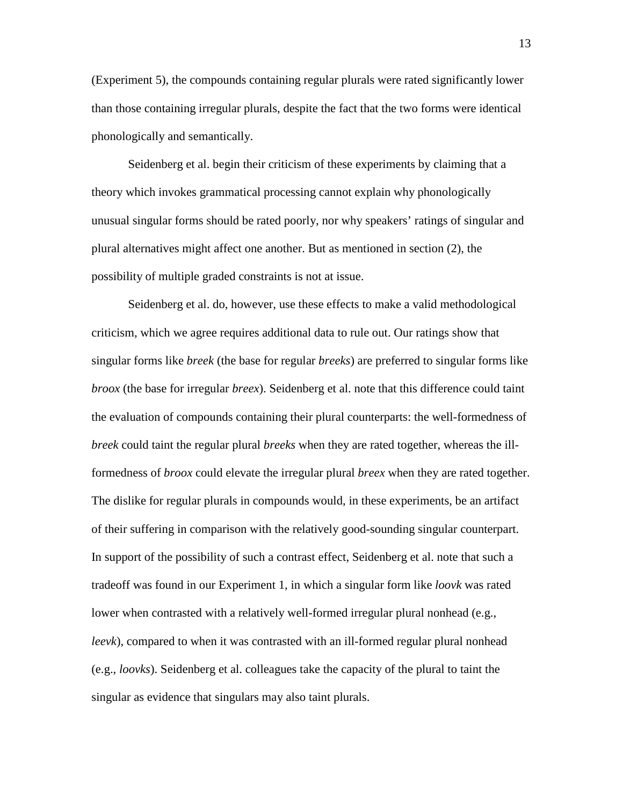(Experiment 5), the compounds containing regular plurals were rated significantly lower than those containing irregular plurals, despite the fact that the two forms were identical phonologically and semantically.

Seidenberg et al. begin their criticism of these experiments by claiming that a theory which invokes grammatical processing cannot explain why phonologically unusual singular forms should be rated poorly, nor why speakers' ratings of singular and plural alternatives might affect one another. But as mentioned in section (2), the possibility of multiple graded constraints is not at issue.

Seidenberg et al. do, however, use these effects to make a valid methodological criticism, which we agree requires additional data to rule out. Our ratings show that singular forms like *breek* (the base for regular *breeks*) are preferred to singular forms like *broox* (the base for irregular *breex*). Seidenberg et al. note that this difference could taint the evaluation of compounds containing their plural counterparts: the well-formedness of *breek* could taint the regular plural *breeks* when they are rated together, whereas the illformedness of *broox* could elevate the irregular plural *breex* when they are rated together. The dislike for regular plurals in compounds would, in these experiments, be an artifact of their suffering in comparison with the relatively good-sounding singular counterpart. In support of the possibility of such a contrast effect, Seidenberg et al. note that such a tradeoff was found in our Experiment 1, in which a singular form like *loovk* was rated lower when contrasted with a relatively well-formed irregular plural nonhead (e.g., *leevk*), compared to when it was contrasted with an ill-formed regular plural nonhead (e.g., *loovks*). Seidenberg et al. colleagues take the capacity of the plural to taint the singular as evidence that singulars may also taint plurals.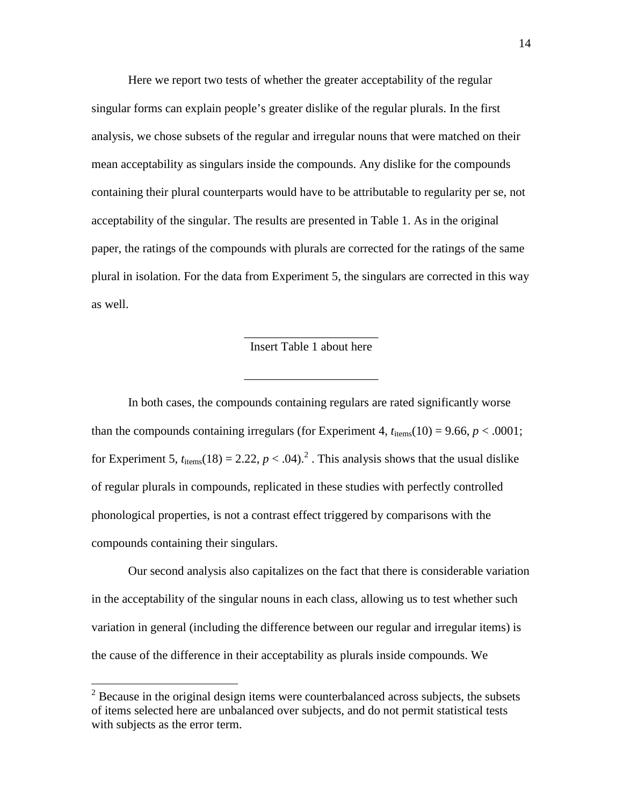Here we report two tests of whether the greater acceptability of the regular singular forms can explain people's greater dislike of the regular plurals. In the first analysis, we chose subsets of the regular and irregular nouns that were matched on their mean acceptability as singulars inside the compounds. Any dislike for the compounds containing their plural counterparts would have to be attributable to regularity per se, not acceptability of the singular. The results are presented in Table 1. As in the original paper, the ratings of the compounds with plurals are corrected for the ratings of the same plural in isolation. For the data from Experiment 5, the singulars are corrected in this way as well.

## \_\_\_\_\_\_\_\_\_\_\_\_\_\_\_\_\_\_\_\_\_\_ Insert Table 1 about here

\_\_\_\_\_\_\_\_\_\_\_\_\_\_\_\_\_\_\_\_\_\_

In both cases, the compounds containing regulars are rated significantly worse than the compounds containing irregulars (for Experiment 4,  $t_{\text{items}}(10) = 9.66$ ,  $p < .0001$ ; for Experiment 5,  $t_{\text{items}}(18) = 2.22$ ,  $p < .04$ ).<sup>2</sup>. This analysis shows that the usual dislike of regular plurals in compounds, replicated in these studies with perfectly controlled phonological properties, is not a contrast effect triggered by comparisons with the compounds containing their singulars.

Our second analysis also capitalizes on the fact that there is considerable variation in the acceptability of the singular nouns in each class, allowing us to test whether such variation in general (including the difference between our regular and irregular items) is the cause of the difference in their acceptability as plurals inside compounds. We

 $2^2$  Because in the original design items were counterbalanced across subjects, the subsets of items selected here are unbalanced over subjects, and do not permit statistical tests with subjects as the error term.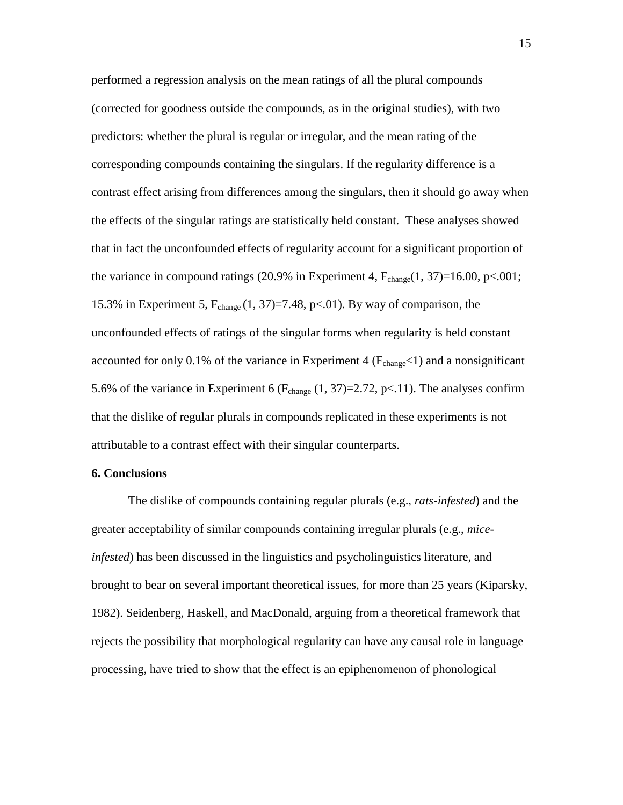performed a regression analysis on the mean ratings of all the plural compounds (corrected for goodness outside the compounds, as in the original studies), with two predictors: whether the plural is regular or irregular, and the mean rating of the corresponding compounds containing the singulars. If the regularity difference is a contrast effect arising from differences among the singulars, then it should go away when the effects of the singular ratings are statistically held constant. These analyses showed that in fact the unconfounded effects of regularity account for a significant proportion of the variance in compound ratings (20.9% in Experiment 4,  $F_{change}(1, 37)=16.00, p<.001;$ 15.3% in Experiment 5,  $F_{change}$  (1, 37)=7.48, p<.01). By way of comparison, the unconfounded effects of ratings of the singular forms when regularity is held constant accounted for only 0.1% of the variance in Experiment 4 ( $F_{change}$  < 1) and a nonsignificant 5.6% of the variance in Experiment 6 ( $F_{change}$  (1, 37)=2.72, p<.11). The analyses confirm that the dislike of regular plurals in compounds replicated in these experiments is not attributable to a contrast effect with their singular counterparts.

#### **6. Conclusions**

The dislike of compounds containing regular plurals (e.g., *rats-infested*) and the greater acceptability of similar compounds containing irregular plurals (e.g., *miceinfested*) has been discussed in the linguistics and psycholinguistics literature, and brought to bear on several important theoretical issues, for more than 25 years (Kiparsky, 1982). Seidenberg, Haskell, and MacDonald, arguing from a theoretical framework that rejects the possibility that morphological regularity can have any causal role in language processing, have tried to show that the effect is an epiphenomenon of phonological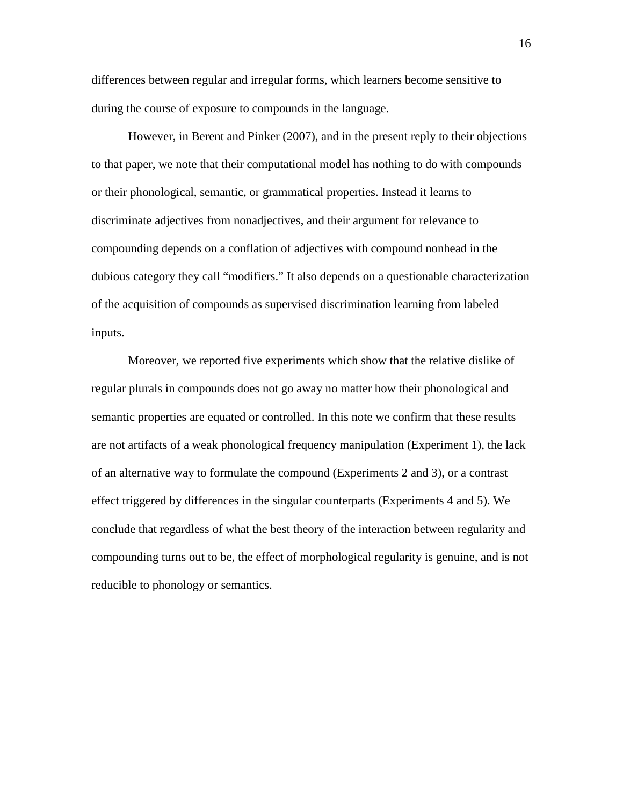differences between regular and irregular forms, which learners become sensitive to during the course of exposure to compounds in the language.

However, in Berent and Pinker (2007), and in the present reply to their objections to that paper, we note that their computational model has nothing to do with compounds or their phonological, semantic, or grammatical properties. Instead it learns to discriminate adjectives from nonadjectives, and their argument for relevance to compounding depends on a conflation of adjectives with compound nonhead in the dubious category they call "modifiers." It also depends on a questionable characterization of the acquisition of compounds as supervised discrimination learning from labeled inputs.

Moreover, we reported five experiments which show that the relative dislike of regular plurals in compounds does not go away no matter how their phonological and semantic properties are equated or controlled. In this note we confirm that these results are not artifacts of a weak phonological frequency manipulation (Experiment 1), the lack of an alternative way to formulate the compound (Experiments 2 and 3), or a contrast effect triggered by differences in the singular counterparts (Experiments 4 and 5). We conclude that regardless of what the best theory of the interaction between regularity and compounding turns out to be, the effect of morphological regularity is genuine, and is not reducible to phonology or semantics.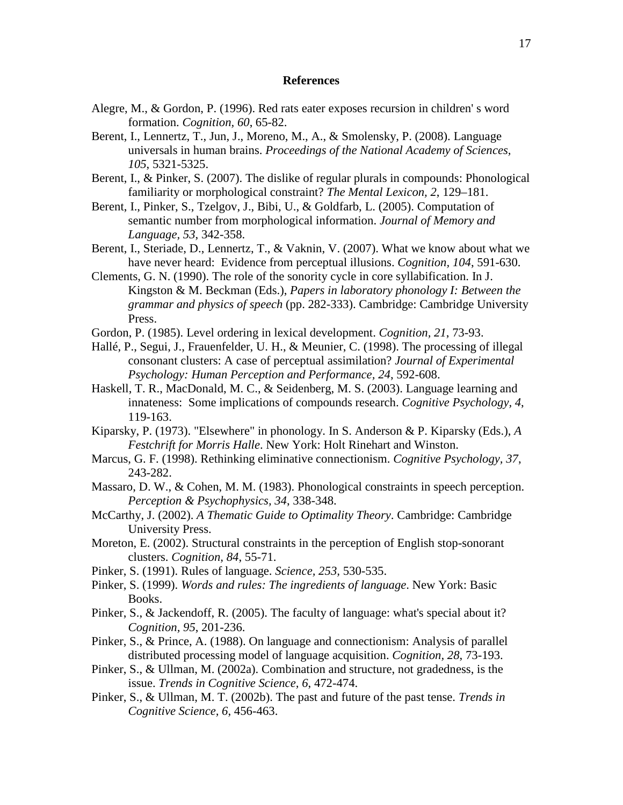#### **References**

- Alegre, M., & Gordon, P. (1996). Red rats eater exposes recursion in children' s word formation. *Cognition, 60*, 65-82.
- Berent, I., Lennertz, T., Jun, J., Moreno, M., A., & Smolensky, P. (2008). Language universals in human brains. *Proceedings of the National Academy of Sciences, 105*, 5321-5325.
- Berent, I., & Pinker, S. (2007). The dislike of regular plurals in compounds: Phonological familiarity or morphological constraint? *The Mental Lexicon, 2*, 129–181.
- Berent, I., Pinker, S., Tzelgov, J., Bibi, U., & Goldfarb, L. (2005). Computation of semantic number from morphological information. *Journal of Memory and Language, 53*, 342-358.
- Berent, I., Steriade, D., Lennertz, T., & Vaknin, V. (2007). What we know about what we have never heard: Evidence from perceptual illusions. *Cognition, 104*, 591-630.
- Clements, G. N. (1990). The role of the sonority cycle in core syllabification. In J. Kingston & M. Beckman (Eds.), *Papers in laboratory phonology I: Between the grammar and physics of speech* (pp. 282-333). Cambridge: Cambridge University Press.
- Gordon, P. (1985). Level ordering in lexical development. *Cognition, 21*, 73-93.
- Hallé, P., Segui, J., Frauenfelder, U. H., & Meunier, C. (1998). The processing of illegal consonant clusters: A case of perceptual assimilation? *Journal of Experimental Psychology: Human Perception and Performance, 24*, 592-608.
- Haskell, T. R., MacDonald, M. C., & Seidenberg, M. S. (2003). Language learning and innateness: Some implications of compounds research. *Cognitive Psychology, 4*, 119-163.
- Kiparsky, P. (1973). "Elsewhere" in phonology. In S. Anderson & P. Kiparsky (Eds.), *A Festchrift for Morris Halle*. New York: Holt Rinehart and Winston.
- Marcus, G. F. (1998). Rethinking eliminative connectionism. *Cognitive Psychology, 37*, 243-282.
- Massaro, D. W., & Cohen, M. M. (1983). Phonological constraints in speech perception. *Perception & Psychophysics, 34*, 338-348.
- McCarthy, J. (2002). *A Thematic Guide to Optimality Theory*. Cambridge: Cambridge University Press.
- Moreton, E. (2002). Structural constraints in the perception of English stop-sonorant clusters. *Cognition, 84*, 55-71.
- Pinker, S. (1991). Rules of language. *Science, 253,* 530-535.
- Pinker, S. (1999). *Words and rules: The ingredients of language*. New York: Basic Books.
- Pinker, S., & Jackendoff, R. (2005). The faculty of language: what's special about it? *Cognition, 95*, 201-236.
- Pinker, S., & Prince, A. (1988). On language and connectionism: Analysis of parallel distributed processing model of language acquisition. *Cognition, 28*, 73-193.
- Pinker, S., & Ullman, M. (2002a). Combination and structure, not gradedness, is the issue. *Trends in Cognitive Science, 6*, 472-474.
- Pinker, S., & Ullman, M. T. (2002b). The past and future of the past tense. *Trends in Cognitive Science, 6*, 456-463.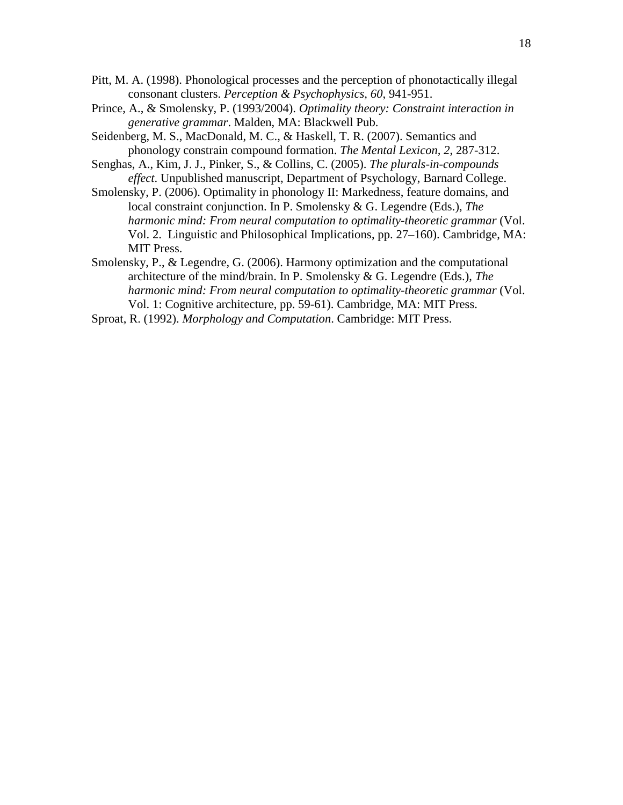- Pitt, M. A. (1998). Phonological processes and the perception of phonotactically illegal consonant clusters. *Perception & Psychophysics, 60*, 941-951.
- Prince, A., & Smolensky, P. (1993/2004). *Optimality theory: Constraint interaction in generative grammar*. Malden, MA: Blackwell Pub.
- Seidenberg, M. S., MacDonald, M. C., & Haskell, T. R. (2007). Semantics and phonology constrain compound formation. *The Mental Lexicon, 2*, 287-312.
- Senghas, A., Kim, J. J., Pinker, S., & Collins, C. (2005). *The plurals-in-compounds effect*. Unpublished manuscript, Department of Psychology, Barnard College.
- Smolensky, P. (2006). Optimality in phonology II: Markedness, feature domains, and local constraint conjunction. In P. Smolensky & G. Legendre (Eds.), *The harmonic mind: From neural computation to optimality-theoretic grammar* (Vol. Vol. 2. Linguistic and Philosophical Implications, pp. 27–160). Cambridge, MA: MIT Press.
- Smolensky, P., & Legendre, G. (2006). Harmony optimization and the computational architecture of the mind/brain. In P. Smolensky & G. Legendre (Eds.), *The harmonic mind: From neural computation to optimality-theoretic grammar* (Vol. Vol. 1: Cognitive architecture, pp. 59-61). Cambridge, MA: MIT Press.
- Sproat, R. (1992). *Morphology and Computation*. Cambridge: MIT Press.